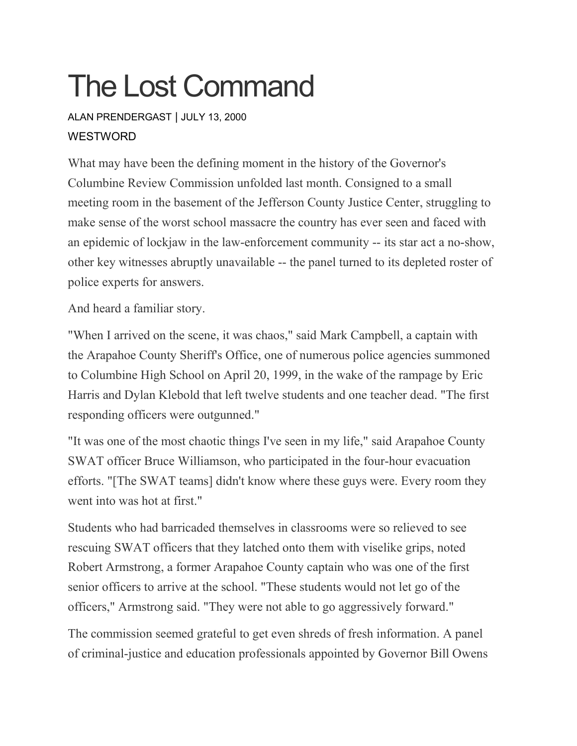## The Lost Command

ALAN [PRENDERGAST](https://www.westword.com/authors/alan-prendergast-5052731) | JULY 13, 2000 **WESTWORD** 

What may have been the defining moment in the history of the Governor's Columbine Review Commission unfolded last month. Consigned to a small meeting room in the basement of the Jefferson County Justice Center, struggling to make sense of the worst school massacre the country has ever seen and faced with an epidemic of lockjaw in the law-enforcement community -- its star act a no-show, other key witnesses abruptly unavailable -- the panel turned to its depleted roster of police experts for answers.

And heard a familiar story.

"When I arrived on the scene, it was chaos," said Mark Campbell, a captain with the Arapahoe County Sheriff's Office, one of numerous police agencies summoned to Columbine High School on April 20, 1999, in the wake of the rampage by Eric Harris and Dylan Klebold that left twelve students and one teacher dead. "The first responding officers were outgunned."

"It was one of the most chaotic things I've seen in my life," said Arapahoe County SWAT officer Bruce Williamson, who participated in the four-hour evacuation efforts. "[The SWAT teams] didn't know where these guys were. Every room they went into was hot at first."

Students who had barricaded themselves in classrooms were so relieved to see rescuing SWAT officers that they latched onto them with viselike grips, noted Robert Armstrong, a former Arapahoe County captain who was one of the first senior officers to arrive at the school. "These students would not let go of the officers," Armstrong said. "They were not able to go aggressively forward."

The commission seemed grateful to get even shreds of fresh information. A panel of criminal-justice and education professionals appointed by Governor Bill Owens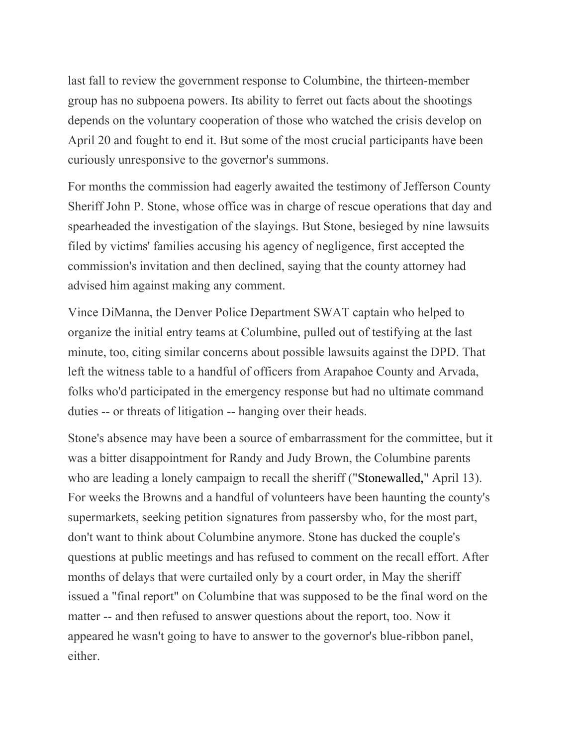last fall to review the government response to Columbine, the thirteen-member group has no subpoena powers. Its ability to ferret out facts about the shootings depends on the voluntary cooperation of those who watched the crisis develop on April 20 and fought to end it. But some of the most crucial participants have been curiously unresponsive to the governor's summons.

For months the commission had eagerly awaited the testimony of Jefferson County Sheriff John P. Stone, whose office was in charge of rescue operations that day and spearheaded the investigation of the slayings. But Stone, besieged by nine lawsuits filed by victims' families accusing his agency of negligence, first accepted the commission's invitation and then declined, saying that the county attorney had advised him against making any comment.

Vince DiManna, the Denver Police Department SWAT captain who helped to organize the initial entry teams at Columbine, pulled out of testifying at the last minute, too, citing similar concerns about possible lawsuits against the DPD. That left the witness table to a handful of officers from Arapahoe County and Arvada, folks who'd participated in the emergency response but had no ultimate command duties -- or threats of litigation -- hanging over their heads.

Stone's absence may have been a source of embarrassment for the committee, but it was a bitter disappointment for Randy and Judy Brown, the Columbine parents who are leading a lonely campaign to recall the sheriff (["Stonewalled,](http://www.westword.com/issues/2000-04-13/feature.html)" April 13). For weeks the Browns and a handful of volunteers have been haunting the county's supermarkets, seeking petition signatures from passersby who, for the most part, don't want to think about Columbine anymore. Stone has ducked the couple's questions at public meetings and has refused to comment on the recall effort. After months of delays that were curtailed only by a court order, in May the sheriff issued a "final report" on Columbine that was supposed to be the final word on the matter -- and then refused to answer questions about the report, too. Now it appeared he wasn't going to have to answer to the governor's blue-ribbon panel, either.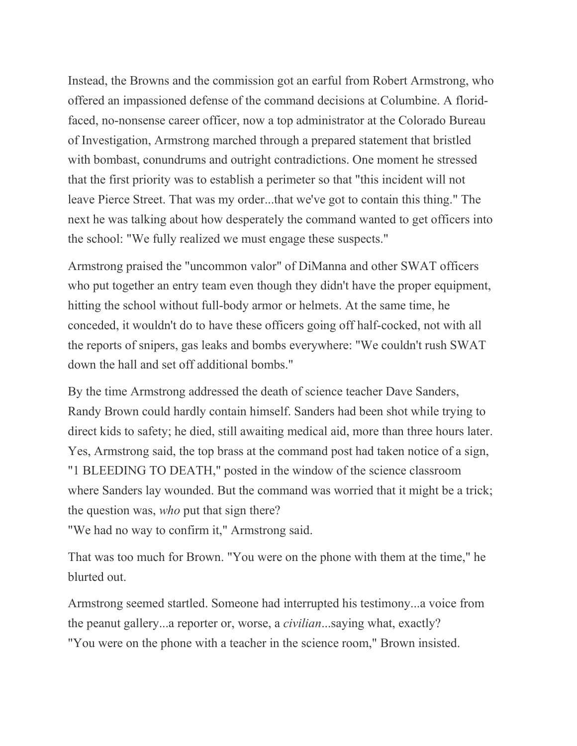Instead, the Browns and the commission got an earful from Robert Armstrong, who offered an impassioned defense of the command decisions at Columbine. A floridfaced, no-nonsense career officer, now a top administrator at the Colorado Bureau of Investigation, Armstrong marched through a prepared statement that bristled with bombast, conundrums and outright contradictions. One moment he stressed that the first priority was to establish a perimeter so that "this incident will not leave Pierce Street. That was my order...that we've got to contain this thing." The next he was talking about how desperately the command wanted to get officers into the school: "We fully realized we must engage these suspects."

Armstrong praised the "uncommon valor" of DiManna and other SWAT officers who put together an entry team even though they didn't have the proper equipment, hitting the school without full-body armor or helmets. At the same time, he conceded, it wouldn't do to have these officers going off half-cocked, not with all the reports of snipers, gas leaks and bombs everywhere: "We couldn't rush SWAT down the hall and set off additional bombs."

By the time Armstrong addressed the death of science teacher Dave Sanders, Randy Brown could hardly contain himself. Sanders had been shot while trying to direct kids to safety; he died, still awaiting medical aid, more than three hours later. Yes, Armstrong said, the top brass at the command post had taken notice of a sign, "1 BLEEDING TO DEATH," posted in the window of the science classroom where Sanders lay wounded. But the command was worried that it might be a trick; the question was, *who* put that sign there?

"We had no way to confirm it," Armstrong said.

That was too much for Brown. "You were on the phone with them at the time," he blurted out.

Armstrong seemed startled. Someone had interrupted his testimony...a voice from the peanut gallery...a reporter or, worse, a *civilian*...saying what, exactly? "You were on the phone with a teacher in the science room," Brown insisted.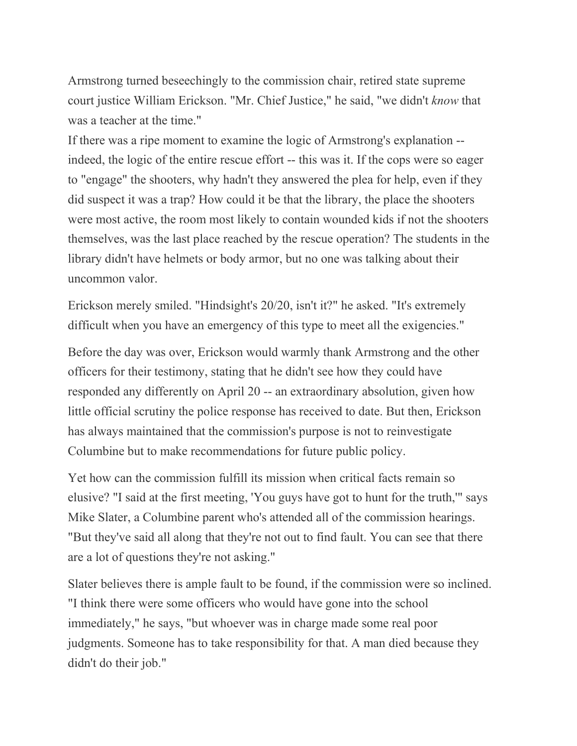Armstrong turned beseechingly to the commission chair, retired state supreme court justice William Erickson. "Mr. Chief Justice," he said, "we didn't *know* that was a teacher at the time."

If there was a ripe moment to examine the logic of Armstrong's explanation - indeed, the logic of the entire rescue effort -- this was it. If the cops were so eager to "engage" the shooters, why hadn't they answered the plea for help, even if they did suspect it was a trap? How could it be that the library, the place the shooters were most active, the room most likely to contain wounded kids if not the shooters themselves, was the last place reached by the rescue operation? The students in the library didn't have helmets or body armor, but no one was talking about their uncommon valor.

Erickson merely smiled. "Hindsight's 20/20, isn't it?" he asked. "It's extremely difficult when you have an emergency of this type to meet all the exigencies."

Before the day was over, Erickson would warmly thank Armstrong and the other officers for their testimony, stating that he didn't see how they could have responded any differently on April 20 -- an extraordinary absolution, given how little official scrutiny the police response has received to date. But then, Erickson has always maintained that the commission's purpose is not to reinvestigate Columbine but to make recommendations for future public policy.

Yet how can the commission fulfill its mission when critical facts remain so elusive? "I said at the first meeting, 'You guys have got to hunt for the truth,'" says Mike Slater, a Columbine parent who's attended all of the commission hearings. "But they've said all along that they're not out to find fault. You can see that there are a lot of questions they're not asking."

Slater believes there is ample fault to be found, if the commission were so inclined. "I think there were some officers who would have gone into the school immediately," he says, "but whoever was in charge made some real poor judgments. Someone has to take responsibility for that. A man died because they didn't do their job."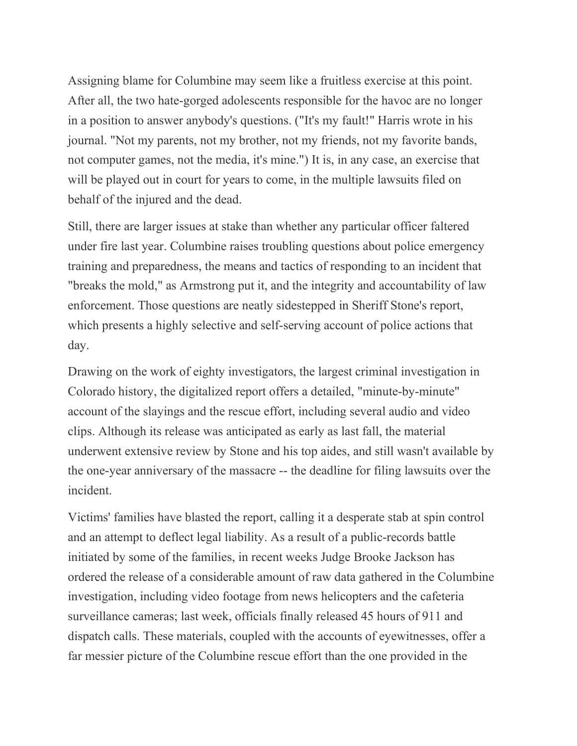Assigning blame for Columbine may seem like a fruitless exercise at this point. After all, the two hate-gorged adolescents responsible for the havoc are no longer in a position to answer anybody's questions. ("It's my fault!" Harris wrote in his journal. "Not my parents, not my brother, not my friends, not my favorite bands, not computer games, not the media, it's mine.") It is, in any case, an exercise that will be played out in court for years to come, in the multiple lawsuits filed on behalf of the injured and the dead.

Still, there are larger issues at stake than whether any particular officer faltered under fire last year. Columbine raises troubling questions about police emergency training and preparedness, the means and tactics of responding to an incident that "breaks the mold," as Armstrong put it, and the integrity and accountability of law enforcement. Those questions are neatly sidestepped in Sheriff Stone's report, which presents a highly selective and self-serving account of police actions that day.

Drawing on the work of eighty investigators, the largest criminal investigation in Colorado history, the digitalized report offers a detailed, "minute-by-minute" account of the slayings and the rescue effort, including several audio and video clips. Although its release was anticipated as early as last fall, the material underwent extensive review by Stone and his top aides, and still wasn't available by the one-year anniversary of the massacre -- the deadline for filing lawsuits over the incident.

Victims' families have blasted the report, calling it a desperate stab at spin control and an attempt to deflect legal liability. As a result of a public-records battle initiated by some of the families, in recent weeks Judge Brooke Jackson has ordered the release of a considerable amount of raw data gathered in the Columbine investigation, including video footage from news helicopters and the cafeteria surveillance cameras; last week, officials finally released 45 hours of 911 and dispatch calls. These materials, coupled with the accounts of eyewitnesses, offer a far messier picture of the Columbine rescue effort than the one provided in the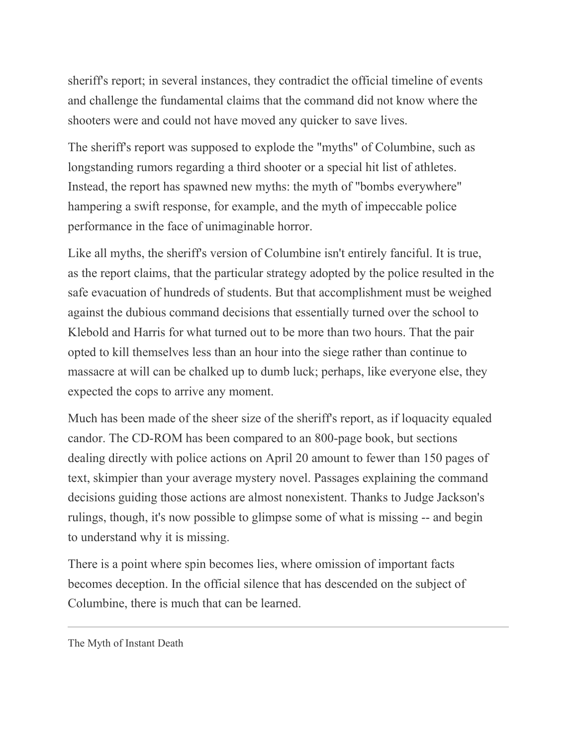sheriff's report; in several instances, they contradict the official timeline of events and challenge the fundamental claims that the command did not know where the shooters were and could not have moved any quicker to save lives.

The sheriff's report was supposed to explode the "myths" of Columbine, such as longstanding rumors regarding a third shooter or a special hit list of athletes. Instead, the report has spawned new myths: the myth of "bombs everywhere" hampering a swift response, for example, and the myth of impeccable police performance in the face of unimaginable horror.

Like all myths, the sheriff's version of Columbine isn't entirely fanciful. It is true, as the report claims, that the particular strategy adopted by the police resulted in the safe evacuation of hundreds of students. But that accomplishment must be weighed against the dubious command decisions that essentially turned over the school to Klebold and Harris for what turned out to be more than two hours. That the pair opted to kill themselves less than an hour into the siege rather than continue to massacre at will can be chalked up to dumb luck; perhaps, like everyone else, they expected the cops to arrive any moment.

Much has been made of the sheer size of the sheriff's report, as if loquacity equaled candor. The CD-ROM has been compared to an 800-page book, but sections dealing directly with police actions on April 20 amount to fewer than 150 pages of text, skimpier than your average mystery novel. Passages explaining the command decisions guiding those actions are almost nonexistent. Thanks to Judge Jackson's rulings, though, it's now possible to glimpse some of what is missing -- and begin to understand why it is missing.

There is a point where spin becomes lies, where omission of important facts becomes deception. In the official silence that has descended on the subject of Columbine, there is much that can be learned.

The Myth of Instant Death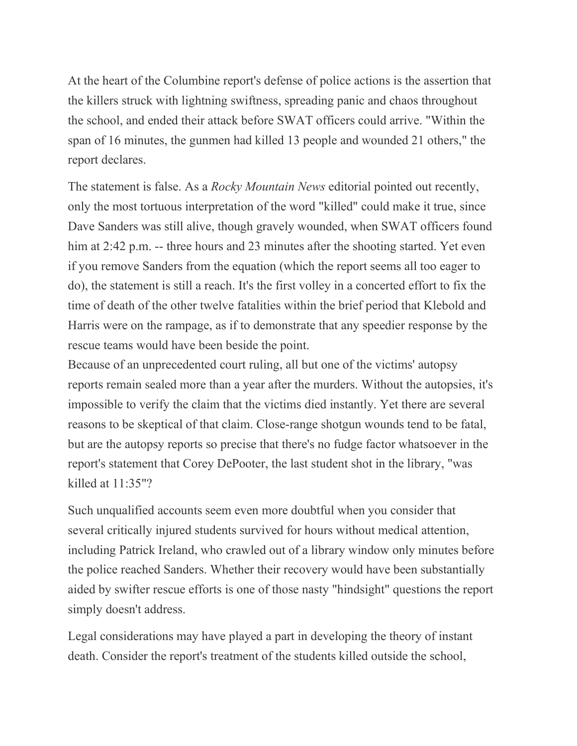At the heart of the Columbine report's defense of police actions is the assertion that the killers struck with lightning swiftness, spreading panic and chaos throughout the school, and ended their attack before SWAT officers could arrive. "Within the span of 16 minutes, the gunmen had killed 13 people and wounded 21 others," the report declares.

The statement is false. As a *Rocky Mountain News* editorial pointed out recently, only the most tortuous interpretation of the word "killed" could make it true, since Dave Sanders was still alive, though gravely wounded, when SWAT officers found him at 2:42 p.m. -- three hours and 23 minutes after the shooting started. Yet even if you remove Sanders from the equation (which the report seems all too eager to do), the statement is still a reach. It's the first volley in a concerted effort to fix the time of death of the other twelve fatalities within the brief period that Klebold and Harris were on the rampage, as if to demonstrate that any speedier response by the rescue teams would have been beside the point.

Because of an unprecedented court ruling, all but one of the victims' autopsy reports remain sealed more than a year after the murders. Without the autopsies, it's impossible to verify the claim that the victims died instantly. Yet there are several reasons to be skeptical of that claim. Close-range shotgun wounds tend to be fatal, but are the autopsy reports so precise that there's no fudge factor whatsoever in the report's statement that Corey DePooter, the last student shot in the library, "was killed at 11:35"?

Such unqualified accounts seem even more doubtful when you consider that several critically injured students survived for hours without medical attention, including Patrick Ireland, who crawled out of a library window only minutes before the police reached Sanders. Whether their recovery would have been substantially aided by swifter rescue efforts is one of those nasty "hindsight" questions the report simply doesn't address.

Legal considerations may have played a part in developing the theory of instant death. Consider the report's treatment of the students killed outside the school,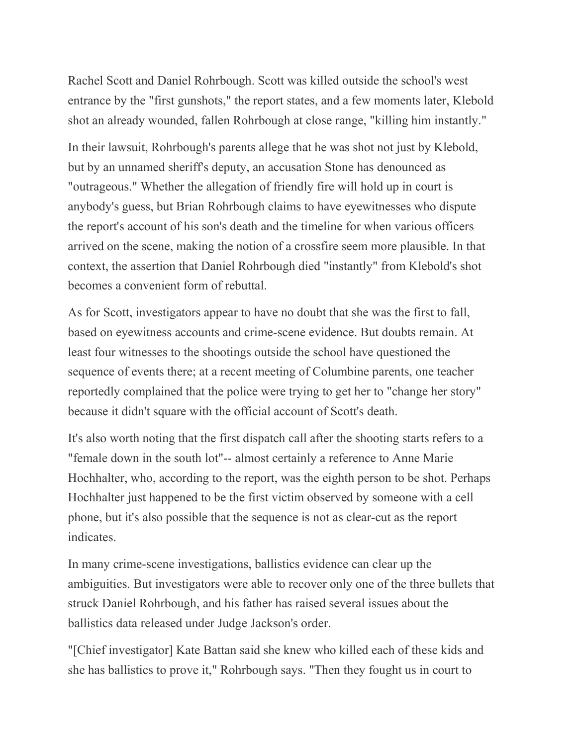Rachel Scott and Daniel Rohrbough. Scott was killed outside the school's west entrance by the "first gunshots," the report states, and a few moments later, Klebold shot an already wounded, fallen Rohrbough at close range, "killing him instantly."

In their lawsuit, Rohrbough's parents allege that he was shot not just by Klebold, but by an unnamed sheriff's deputy, an accusation Stone has denounced as "outrageous." Whether the allegation of friendly fire will hold up in court is anybody's guess, but Brian Rohrbough claims to have eyewitnesses who dispute the report's account of his son's death and the timeline for when various officers arrived on the scene, making the notion of a crossfire seem more plausible. In that context, the assertion that Daniel Rohrbough died "instantly" from Klebold's shot becomes a convenient form of rebuttal.

As for Scott, investigators appear to have no doubt that she was the first to fall, based on eyewitness accounts and crime-scene evidence. But doubts remain. At least four witnesses to the shootings outside the school have questioned the sequence of events there; at a recent meeting of Columbine parents, one teacher reportedly complained that the police were trying to get her to "change her story" because it didn't square with the official account of Scott's death.

It's also worth noting that the first dispatch call after the shooting starts refers to a "female down in the south lot"-- almost certainly a reference to Anne Marie Hochhalter, who, according to the report, was the eighth person to be shot. Perhaps Hochhalter just happened to be the first victim observed by someone with a cell phone, but it's also possible that the sequence is not as clear-cut as the report indicates.

In many crime-scene investigations, ballistics evidence can clear up the ambiguities. But investigators were able to recover only one of the three bullets that struck Daniel Rohrbough, and his father has raised several issues about the ballistics data released under Judge Jackson's order.

"[Chief investigator] Kate Battan said she knew who killed each of these kids and she has ballistics to prove it," Rohrbough says. "Then they fought us in court to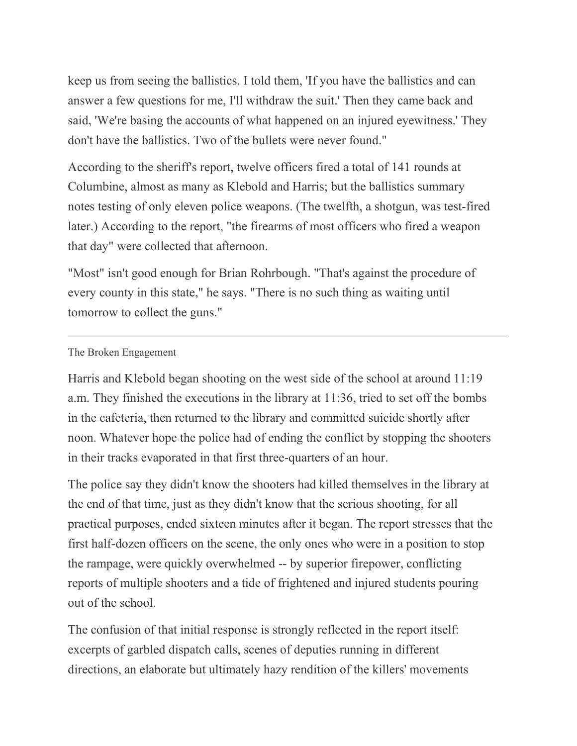keep us from seeing the ballistics. I told them, 'If you have the ballistics and can answer a few questions for me, I'll withdraw the suit.' Then they came back and said, 'We're basing the accounts of what happened on an injured eyewitness.' They don't have the ballistics. Two of the bullets were never found."

According to the sheriff's report, twelve officers fired a total of 141 rounds at Columbine, almost as many as Klebold and Harris; but the ballistics summary notes testing of only eleven police weapons. (The twelfth, a shotgun, was test-fired later.) According to the report, "the firearms of most officers who fired a weapon that day" were collected that afternoon.

"Most" isn't good enough for Brian Rohrbough. "That's against the procedure of every county in this state," he says. "There is no such thing as waiting until tomorrow to collect the guns."

## The Broken Engagement

Harris and Klebold began shooting on the west side of the school at around 11:19 a.m. They finished the executions in the library at 11:36, tried to set off the bombs in the cafeteria, then returned to the library and committed suicide shortly after noon. Whatever hope the police had of ending the conflict by stopping the shooters in their tracks evaporated in that first three-quarters of an hour.

The police say they didn't know the shooters had killed themselves in the library at the end of that time, just as they didn't know that the serious shooting, for all practical purposes, ended sixteen minutes after it began. The report stresses that the first half-dozen officers on the scene, the only ones who were in a position to stop the rampage, were quickly overwhelmed -- by superior firepower, conflicting reports of multiple shooters and a tide of frightened and injured students pouring out of the school.

The confusion of that initial response is strongly reflected in the report itself: excerpts of garbled dispatch calls, scenes of deputies running in different directions, an elaborate but ultimately hazy rendition of the killers' movements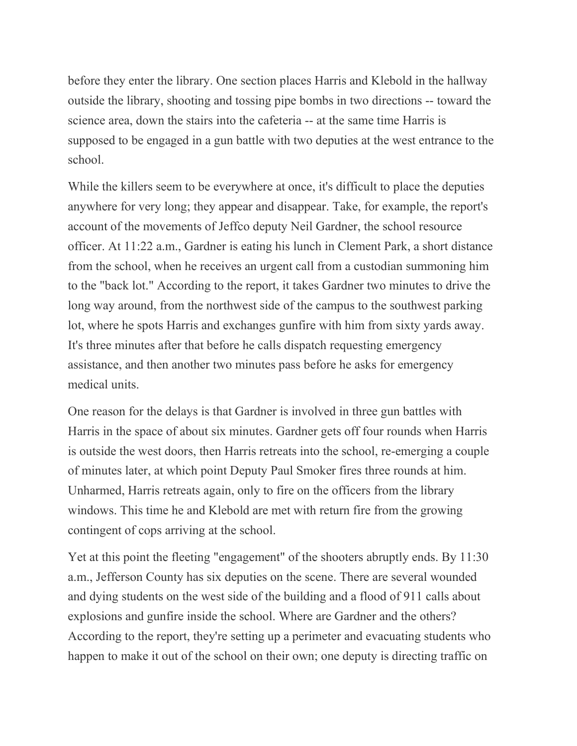before they enter the library. One section places Harris and Klebold in the hallway outside the library, shooting and tossing pipe bombs in two directions -- toward the science area, down the stairs into the cafeteria -- at the same time Harris is supposed to be engaged in a gun battle with two deputies at the west entrance to the school.

While the killers seem to be everywhere at once, it's difficult to place the deputies anywhere for very long; they appear and disappear. Take, for example, the report's account of the movements of Jeffco deputy Neil Gardner, the school resource officer. At 11:22 a.m., Gardner is eating his lunch in Clement Park, a short distance from the school, when he receives an urgent call from a custodian summoning him to the "back lot." According to the report, it takes Gardner two minutes to drive the long way around, from the northwest side of the campus to the southwest parking lot, where he spots Harris and exchanges gunfire with him from sixty yards away. It's three minutes after that before he calls dispatch requesting emergency assistance, and then another two minutes pass before he asks for emergency medical units.

One reason for the delays is that Gardner is involved in three gun battles with Harris in the space of about six minutes. Gardner gets off four rounds when Harris is outside the west doors, then Harris retreats into the school, re-emerging a couple of minutes later, at which point Deputy Paul Smoker fires three rounds at him. Unharmed, Harris retreats again, only to fire on the officers from the library windows. This time he and Klebold are met with return fire from the growing contingent of cops arriving at the school.

Yet at this point the fleeting "engagement" of the shooters abruptly ends. By 11:30 a.m., Jefferson County has six deputies on the scene. There are several wounded and dying students on the west side of the building and a flood of 911 calls about explosions and gunfire inside the school. Where are Gardner and the others? According to the report, they're setting up a perimeter and evacuating students who happen to make it out of the school on their own; one deputy is directing traffic on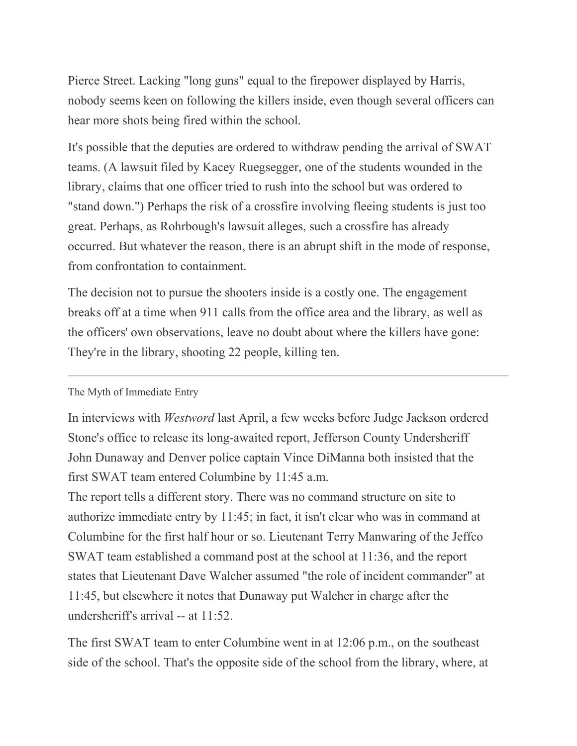Pierce Street. Lacking "long guns" equal to the firepower displayed by Harris, nobody seems keen on following the killers inside, even though several officers can hear more shots being fired within the school.

It's possible that the deputies are ordered to withdraw pending the arrival of SWAT teams. (A lawsuit filed by Kacey Ruegsegger, one of the students wounded in the library, claims that one officer tried to rush into the school but was ordered to "stand down.") Perhaps the risk of a crossfire involving fleeing students is just too great. Perhaps, as Rohrbough's lawsuit alleges, such a crossfire has already occurred. But whatever the reason, there is an abrupt shift in the mode of response, from confrontation to containment.

The decision not to pursue the shooters inside is a costly one. The engagement breaks off at a time when 911 calls from the office area and the library, as well as the officers' own observations, leave no doubt about where the killers have gone: They're in the library, shooting 22 people, killing ten.

The Myth of Immediate Entry

In interviews with *Westword* last April, a few weeks before Judge Jackson ordered Stone's office to release its long-awaited report, Jefferson County Undersheriff John Dunaway and Denver police captain Vince DiManna both insisted that the first SWAT team entered Columbine by 11:45 a.m.

The report tells a different story. There was no command structure on site to authorize immediate entry by 11:45; in fact, it isn't clear who was in command at Columbine for the first half hour or so. Lieutenant Terry Manwaring of the Jeffco SWAT team established a command post at the school at 11:36, and the report states that Lieutenant Dave Walcher assumed "the role of incident commander" at 11:45, but elsewhere it notes that Dunaway put Walcher in charge after the undersheriff's arrival -- at 11:52.

The first SWAT team to enter Columbine went in at 12:06 p.m., on the southeast side of the school. That's the opposite side of the school from the library, where, at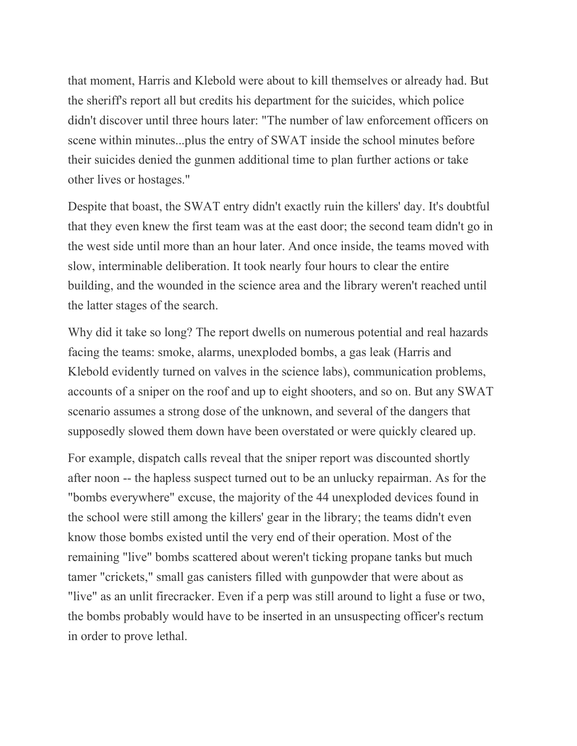that moment, Harris and Klebold were about to kill themselves or already had. But the sheriff's report all but credits his department for the suicides, which police didn't discover until three hours later: "The number of law enforcement officers on scene within minutes...plus the entry of SWAT inside the school minutes before their suicides denied the gunmen additional time to plan further actions or take other lives or hostages."

Despite that boast, the SWAT entry didn't exactly ruin the killers' day. It's doubtful that they even knew the first team was at the east door; the second team didn't go in the west side until more than an hour later. And once inside, the teams moved with slow, interminable deliberation. It took nearly four hours to clear the entire building, and the wounded in the science area and the library weren't reached until the latter stages of the search.

Why did it take so long? The report dwells on numerous potential and real hazards facing the teams: smoke, alarms, unexploded bombs, a gas leak (Harris and Klebold evidently turned on valves in the science labs), communication problems, accounts of a sniper on the roof and up to eight shooters, and so on. But any SWAT scenario assumes a strong dose of the unknown, and several of the dangers that supposedly slowed them down have been overstated or were quickly cleared up.

For example, dispatch calls reveal that the sniper report was discounted shortly after noon -- the hapless suspect turned out to be an unlucky repairman. As for the "bombs everywhere" excuse, the majority of the 44 unexploded devices found in the school were still among the killers' gear in the library; the teams didn't even know those bombs existed until the very end of their operation. Most of the remaining "live" bombs scattered about weren't ticking propane tanks but much tamer "crickets," small gas canisters filled with gunpowder that were about as "live" as an unlit firecracker. Even if a perp was still around to light a fuse or two, the bombs probably would have to be inserted in an unsuspecting officer's rectum in order to prove lethal.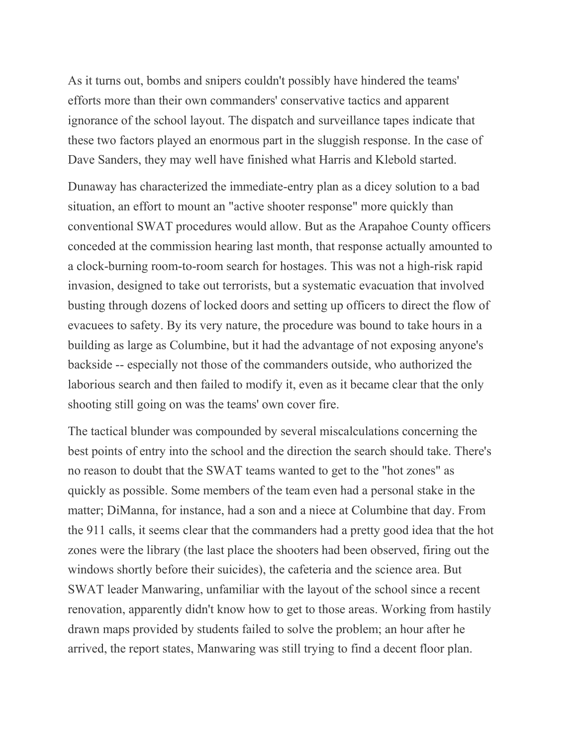As it turns out, bombs and snipers couldn't possibly have hindered the teams' efforts more than their own commanders' conservative tactics and apparent ignorance of the school layout. The dispatch and surveillance tapes indicate that these two factors played an enormous part in the sluggish response. In the case of Dave Sanders, they may well have finished what Harris and Klebold started.

Dunaway has characterized the immediate-entry plan as a dicey solution to a bad situation, an effort to mount an "active shooter response" more quickly than conventional SWAT procedures would allow. But as the Arapahoe County officers conceded at the commission hearing last month, that response actually amounted to a clock-burning room-to-room search for hostages. This was not a high-risk rapid invasion, designed to take out terrorists, but a systematic evacuation that involved busting through dozens of locked doors and setting up officers to direct the flow of evacuees to safety. By its very nature, the procedure was bound to take hours in a building as large as Columbine, but it had the advantage of not exposing anyone's backside -- especially not those of the commanders outside, who authorized the laborious search and then failed to modify it, even as it became clear that the only shooting still going on was the teams' own cover fire.

The tactical blunder was compounded by several miscalculations concerning the best points of entry into the school and the direction the search should take. There's no reason to doubt that the SWAT teams wanted to get to the "hot zones" as quickly as possible. Some members of the team even had a personal stake in the matter; DiManna, for instance, had a son and a niece at Columbine that day. From the 911 calls, it seems clear that the commanders had a pretty good idea that the hot zones were the library (the last place the shooters had been observed, firing out the windows shortly before their suicides), the cafeteria and the science area. But SWAT leader Manwaring, unfamiliar with the layout of the school since a recent renovation, apparently didn't know how to get to those areas. Working from hastily drawn maps provided by students failed to solve the problem; an hour after he arrived, the report states, Manwaring was still trying to find a decent floor plan.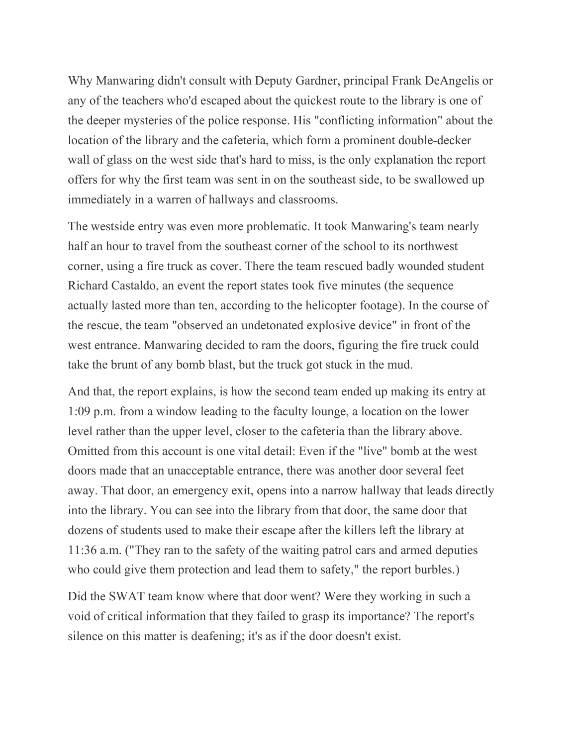Why Manwaring didn't consult with Deputy Gardner, principal Frank DeAngelis or any of the teachers who'd escaped about the quickest route to the library is one of the deeper mysteries of the police response. His "conflicting information" about the location of the library and the cafeteria, which form a prominent double-decker wall of glass on the west side that's hard to miss, is the only explanation the report offers for why the first team was sent in on the southeast side, to be swallowed up immediately in a warren of hallways and classrooms.

The westside entry was even more problematic. It took Manwaring's team nearly half an hour to travel from the southeast corner of the school to its northwest corner, using a fire truck as cover. There the team rescued badly wounded student Richard Castaldo, an event the report states took five minutes (the sequence actually lasted more than ten, according to the helicopter footage). In the course of the rescue, the team "observed an undetonated explosive device" in front of the west entrance. Manwaring decided to ram the doors, figuring the fire truck could take the brunt of any bomb blast, but the truck got stuck in the mud.

And that, the report explains, is how the second team ended up making its entry at 1:09 p.m. from a window leading to the faculty lounge, a location on the lower level rather than the upper level, closer to the cafeteria than the library above. Omitted from this account is one vital detail: Even if the "live" bomb at the west doors made that an unacceptable entrance, there was another door several feet away. That door, an emergency exit, opens into a narrow hallway that leads directly into the library. You can see into the library from that door, the same door that dozens of students used to make their escape after the killers left the library at 11:36 a.m. ("They ran to the safety of the waiting patrol cars and armed deputies who could give them protection and lead them to safety," the report burbles.)

Did the SWAT team know where that door went? Were they working in such a void of critical information that they failed to grasp its importance? The report's silence on this matter is deafening; it's as if the door doesn't exist.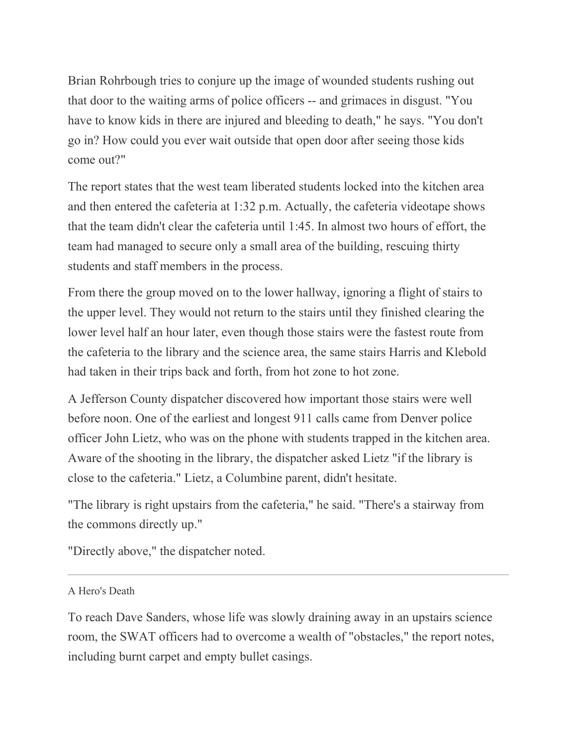Brian Rohrbough tries to conjure up the image of wounded students rushing out that door to the waiting arms of police officers -- and grimaces in disgust. "You have to know kids in there are injured and bleeding to death," he says. "You don't go in? How could you ever wait outside that open door after seeing those kids come out?"

The report states that the west team liberated students locked into the kitchen area and then entered the cafeteria at 1:32 p.m. Actually, the cafeteria videotape shows that the team didn't clear the cafeteria until 1:45. In almost two hours of effort, the team had managed to secure only a small area of the building, rescuing thirty students and staff members in the process.

From there the group moved on to the lower hallway, ignoring a flight of stairs to the upper level. They would not return to the stairs until they finished clearing the lower level half an hour later, even though those stairs were the fastest route from the cafeteria to the library and the science area, the same stairs Harris and Klebold had taken in their trips back and forth, from hot zone to hot zone.

A Jefferson County dispatcher discovered how important those stairs were well before noon. One of the earliest and longest 911 calls came from Denver police officer John Lietz, who was on the phone with students trapped in the kitchen area. Aware of the shooting in the library, the dispatcher asked Lietz "if the library is close to the cafeteria." Lietz, a Columbine parent, didn't hesitate.

"The library is right upstairs from the cafeteria," he said. "There's a stairway from the commons directly up."

"Directly above," the dispatcher noted.

A Hero's Death

To reach Dave Sanders, whose life was slowly draining away in an upstairs science room, the SWAT officers had to overcome a wealth of "obstacles," the report notes, including burnt carpet and empty bullet casings.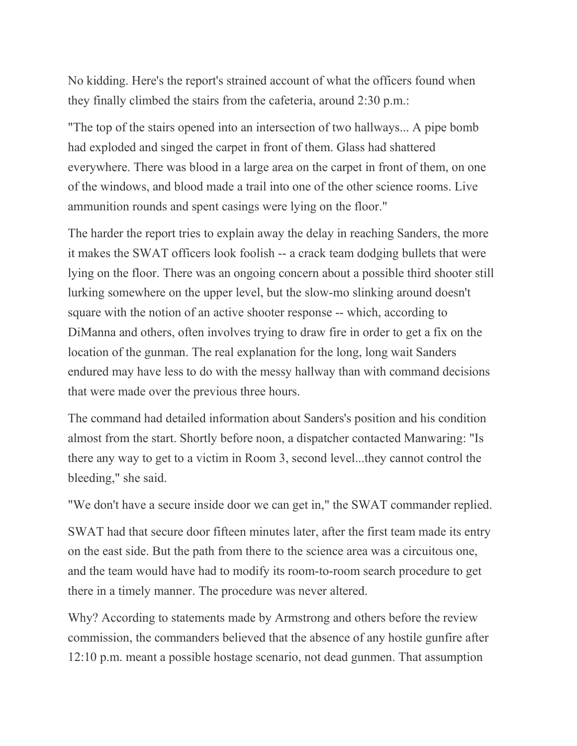No kidding. Here's the report's strained account of what the officers found when they finally climbed the stairs from the cafeteria, around 2:30 p.m.:

"The top of the stairs opened into an intersection of two hallways... A pipe bomb had exploded and singed the carpet in front of them. Glass had shattered everywhere. There was blood in a large area on the carpet in front of them, on one of the windows, and blood made a trail into one of the other science rooms. Live ammunition rounds and spent casings were lying on the floor."

The harder the report tries to explain away the delay in reaching Sanders, the more it makes the SWAT officers look foolish -- a crack team dodging bullets that were lying on the floor. There was an ongoing concern about a possible third shooter still lurking somewhere on the upper level, but the slow-mo slinking around doesn't square with the notion of an active shooter response -- which, according to DiManna and others, often involves trying to draw fire in order to get a fix on the location of the gunman. The real explanation for the long, long wait Sanders endured may have less to do with the messy hallway than with command decisions that were made over the previous three hours.

The command had detailed information about Sanders's position and his condition almost from the start. Shortly before noon, a dispatcher contacted Manwaring: "Is there any way to get to a victim in Room 3, second level...they cannot control the bleeding," she said.

"We don't have a secure inside door we can get in," the SWAT commander replied.

SWAT had that secure door fifteen minutes later, after the first team made its entry on the east side. But the path from there to the science area was a circuitous one, and the team would have had to modify its room-to-room search procedure to get there in a timely manner. The procedure was never altered.

Why? According to statements made by Armstrong and others before the review commission, the commanders believed that the absence of any hostile gunfire after 12:10 p.m. meant a possible hostage scenario, not dead gunmen. That assumption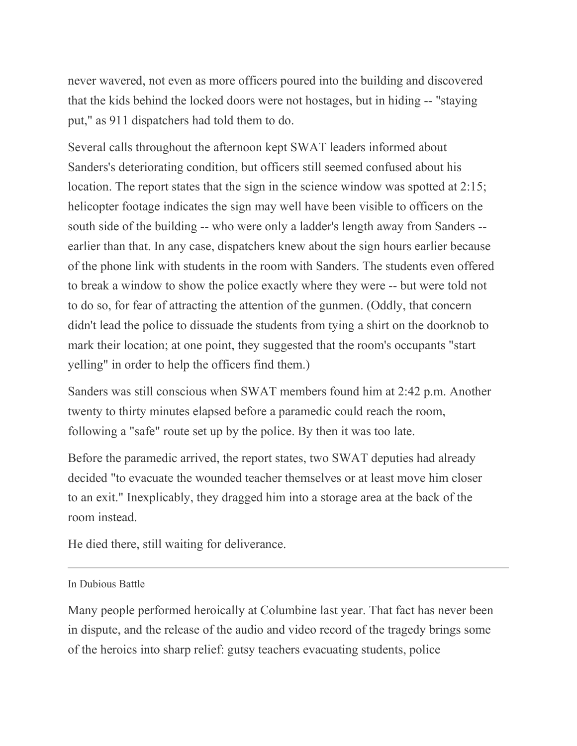never wavered, not even as more officers poured into the building and discovered that the kids behind the locked doors were not hostages, but in hiding -- "staying put," as 911 dispatchers had told them to do.

Several calls throughout the afternoon kept SWAT leaders informed about Sanders's deteriorating condition, but officers still seemed confused about his location. The report states that the sign in the science window was spotted at 2:15; helicopter footage indicates the sign may well have been visible to officers on the south side of the building -- who were only a ladder's length away from Sanders - earlier than that. In any case, dispatchers knew about the sign hours earlier because of the phone link with students in the room with Sanders. The students even offered to break a window to show the police exactly where they were -- but were told not to do so, for fear of attracting the attention of the gunmen. (Oddly, that concern didn't lead the police to dissuade the students from tying a shirt on the doorknob to mark their location; at one point, they suggested that the room's occupants "start yelling" in order to help the officers find them.)

Sanders was still conscious when SWAT members found him at 2:42 p.m. Another twenty to thirty minutes elapsed before a paramedic could reach the room, following a "safe" route set up by the police. By then it was too late.

Before the paramedic arrived, the report states, two SWAT deputies had already decided "to evacuate the wounded teacher themselves or at least move him closer to an exit." Inexplicably, they dragged him into a storage area at the back of the room instead.

He died there, still waiting for deliverance.

In Dubious Battle

Many people performed heroically at Columbine last year. That fact has never been in dispute, and the release of the audio and video record of the tragedy brings some of the heroics into sharp relief: gutsy teachers evacuating students, police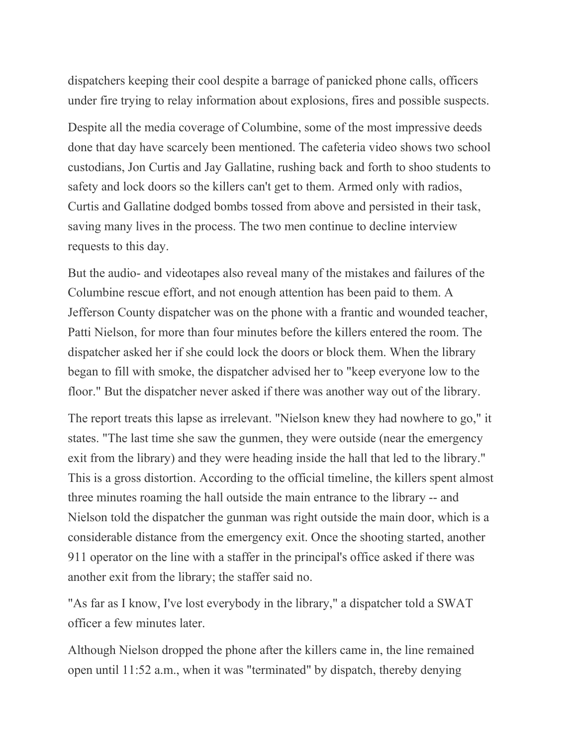dispatchers keeping their cool despite a barrage of panicked phone calls, officers under fire trying to relay information about explosions, fires and possible suspects.

Despite all the media coverage of Columbine, some of the most impressive deeds done that day have scarcely been mentioned. The cafeteria video shows two school custodians, Jon Curtis and Jay Gallatine, rushing back and forth to shoo students to safety and lock doors so the killers can't get to them. Armed only with radios, Curtis and Gallatine dodged bombs tossed from above and persisted in their task, saving many lives in the process. The two men continue to decline interview requests to this day.

But the audio- and videotapes also reveal many of the mistakes and failures of the Columbine rescue effort, and not enough attention has been paid to them. A Jefferson County dispatcher was on the phone with a frantic and wounded teacher, Patti Nielson, for more than four minutes before the killers entered the room. The dispatcher asked her if she could lock the doors or block them. When the library began to fill with smoke, the dispatcher advised her to "keep everyone low to the floor." But the dispatcher never asked if there was another way out of the library.

The report treats this lapse as irrelevant. "Nielson knew they had nowhere to go," it states. "The last time she saw the gunmen, they were outside (near the emergency exit from the library) and they were heading inside the hall that led to the library." This is a gross distortion. According to the official timeline, the killers spent almost three minutes roaming the hall outside the main entrance to the library -- and Nielson told the dispatcher the gunman was right outside the main door, which is a considerable distance from the emergency exit. Once the shooting started, another 911 operator on the line with a staffer in the principal's office asked if there was another exit from the library; the staffer said no.

"As far as I know, I've lost everybody in the library," a dispatcher told a SWAT officer a few minutes later.

Although Nielson dropped the phone after the killers came in, the line remained open until 11:52 a.m., when it was "terminated" by dispatch, thereby denying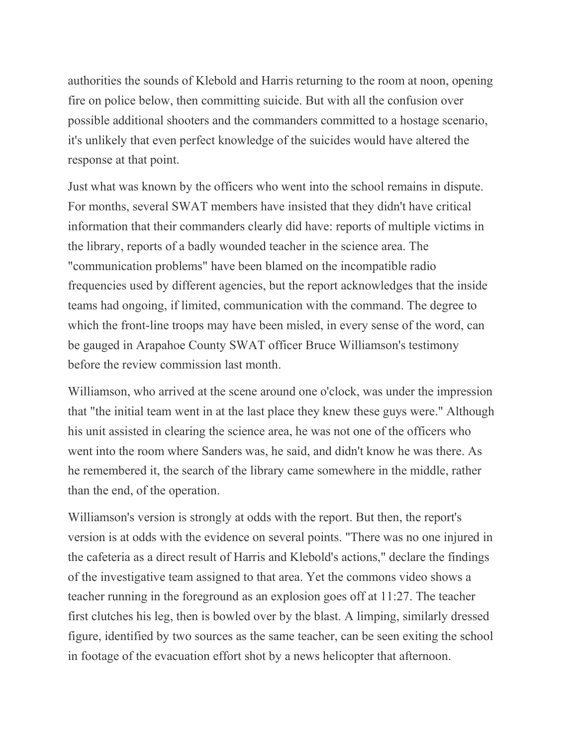authorities the sounds of Klebold and Harris returning to the room at noon, opening fire on police below, then committing suicide. But with all the confusion over possible additional shooters and the commanders committed to a hostage scenario, it's unlikely that even perfect knowledge of the suicides would have altered the response at that point.

Just what was known by the officers who went into the school remains in dispute. For months, several SWAT members have insisted that they didn't have critical information that their commanders clearly did have: reports of multiple victims in the library, reports of a badly wounded teacher in the science area. The "communication problems" have been blamed on the incompatible radio frequencies used by different agencies, but the report acknowledges that the inside teams had ongoing, if limited, communication with the command. The degree to which the front-line troops may have been misled, in every sense of the word, can be gauged in Arapahoe County SWAT officer Bruce Williamson's testimony before the review commission last month.

Williamson, who arrived at the scene around one o'clock, was under the impression that "the initial team went in at the last place they knew these guys were." Although his unit assisted in clearing the science area, he was not one of the officers who went into the room where Sanders was, he said, and didn't know he was there. As he remembered it, the search of the library came somewhere in the middle, rather than the end, of the operation.

Williamson's version is strongly at odds with the report. But then, the report's version is at odds with the evidence on several points. "There was no one injured in the cafeteria as a direct result of Harris and Klebold's actions," declare the findings of the investigative team assigned to that area. Yet the commons video shows a teacher running in the foreground as an explosion goes off at 11:27. The teacher first clutches his leg, then is bowled over by the blast. A limping, similarly dressed figure, identified by two sources as the same teacher, can be seen exiting the school in footage of the evacuation effort shot by a news helicopter that afternoon.